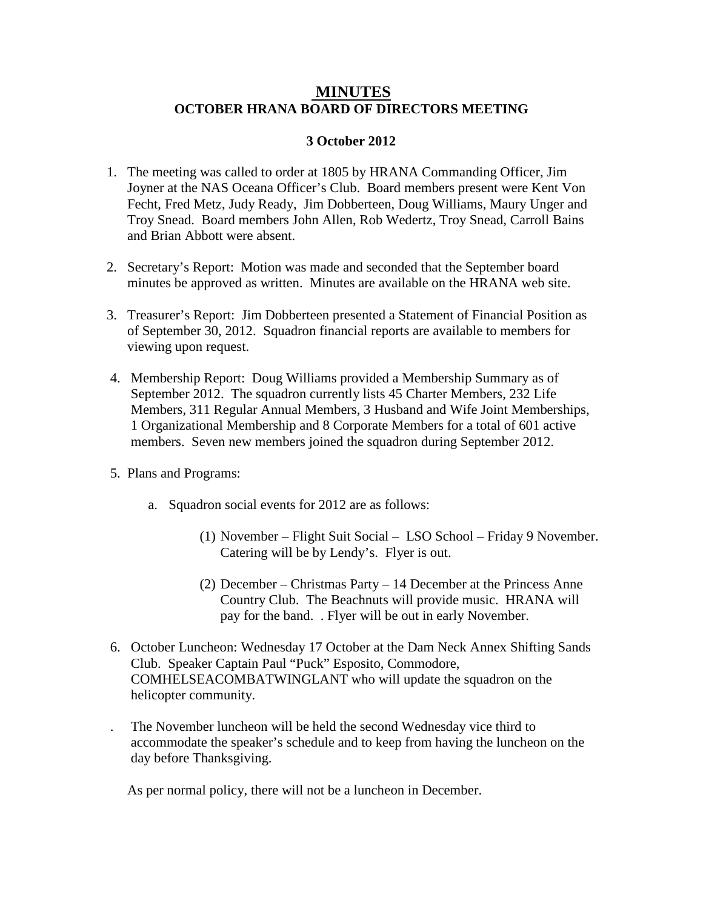## **MINUTES OCTOBER HRANA BOARD OF DIRECTORS MEETING**

## **3 October 2012**

- 1. The meeting was called to order at 1805 by HRANA Commanding Officer, Jim Joyner at the NAS Oceana Officer's Club. Board members present were Kent Von Fecht, Fred Metz, Judy Ready, Jim Dobberteen, Doug Williams, Maury Unger and Troy Snead. Board members John Allen, Rob Wedertz, Troy Snead, Carroll Bains and Brian Abbott were absent.
- 2. Secretary's Report: Motion was made and seconded that the September board minutes be approved as written. Minutes are available on the HRANA web site.
- 3. Treasurer's Report: Jim Dobberteen presented a Statement of Financial Position as of September 30, 2012. Squadron financial reports are available to members for viewing upon request.
- 4. Membership Report: Doug Williams provided a Membership Summary as of September 2012. The squadron currently lists 45 Charter Members, 232 Life Members, 311 Regular Annual Members, 3 Husband and Wife Joint Memberships, 1 Organizational Membership and 8 Corporate Members for a total of 601 active members. Seven new members joined the squadron during September 2012.
- 5. Plans and Programs:
	- a. Squadron social events for 2012 are as follows:
		- (1) November Flight Suit Social LSO School Friday 9 November. Catering will be by Lendy's. Flyer is out.
		- (2) December Christmas Party 14 December at the Princess Anne Country Club. The Beachnuts will provide music. HRANA will pay for the band. . Flyer will be out in early November.
- 6. October Luncheon: Wednesday 17 October at the Dam Neck Annex Shifting Sands Club. Speaker Captain Paul "Puck" Esposito, Commodore, COMHELSEACOMBATWINGLANT who will update the squadron on the helicopter community.
	- . The November luncheon will be held the second Wednesday vice third to accommodate the speaker's schedule and to keep from having the luncheon on the day before Thanksgiving.

As per normal policy, there will not be a luncheon in December.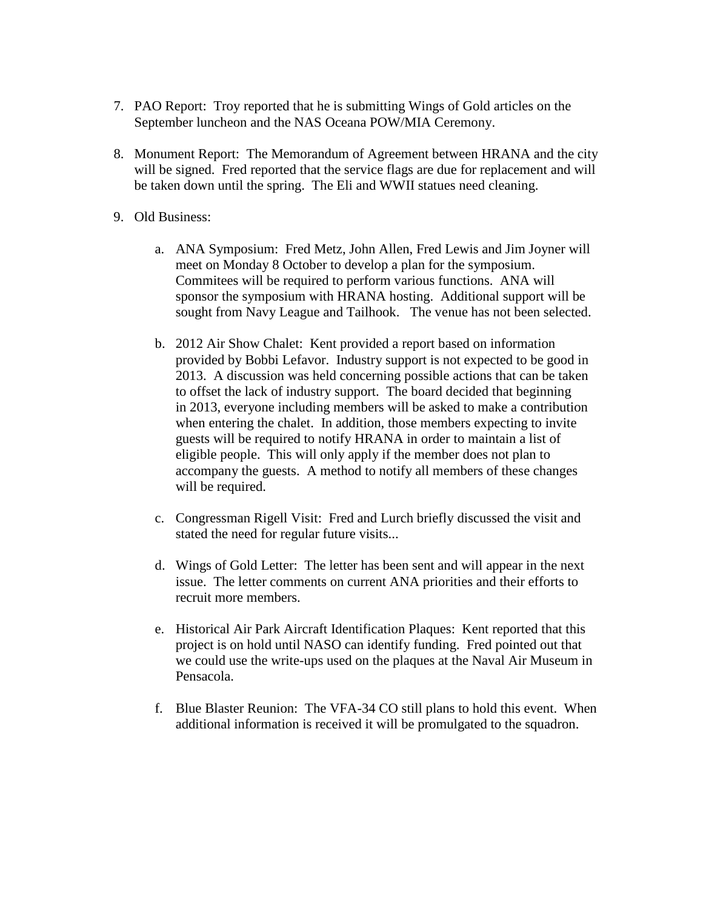- 7. PAO Report: Troy reported that he is submitting Wings of Gold articles on the September luncheon and the NAS Oceana POW/MIA Ceremony.
- 8. Monument Report: The Memorandum of Agreement between HRANA and the city will be signed. Fred reported that the service flags are due for replacement and will be taken down until the spring. The Eli and WWII statues need cleaning.
- 9. Old Business:
	- a. ANA Symposium: Fred Metz, John Allen, Fred Lewis and Jim Joyner will meet on Monday 8 October to develop a plan for the symposium. Commitees will be required to perform various functions. ANA will sponsor the symposium with HRANA hosting. Additional support will be sought from Navy League and Tailhook. The venue has not been selected.
	- b. 2012 Air Show Chalet: Kent provided a report based on information provided by Bobbi Lefavor. Industry support is not expected to be good in 2013. A discussion was held concerning possible actions that can be taken to offset the lack of industry support. The board decided that beginning in 2013, everyone including members will be asked to make a contribution when entering the chalet. In addition, those members expecting to invite guests will be required to notify HRANA in order to maintain a list of eligible people. This will only apply if the member does not plan to accompany the guests. A method to notify all members of these changes will be required.
	- c. Congressman Rigell Visit: Fred and Lurch briefly discussed the visit and stated the need for regular future visits...
	- d. Wings of Gold Letter: The letter has been sent and will appear in the next issue. The letter comments on current ANA priorities and their efforts to recruit more members.
	- e. Historical Air Park Aircraft Identification Plaques: Kent reported that this project is on hold until NASO can identify funding. Fred pointed out that we could use the write-ups used on the plaques at the Naval Air Museum in Pensacola.
	- f. Blue Blaster Reunion: The VFA-34 CO still plans to hold this event. When additional information is received it will be promulgated to the squadron.